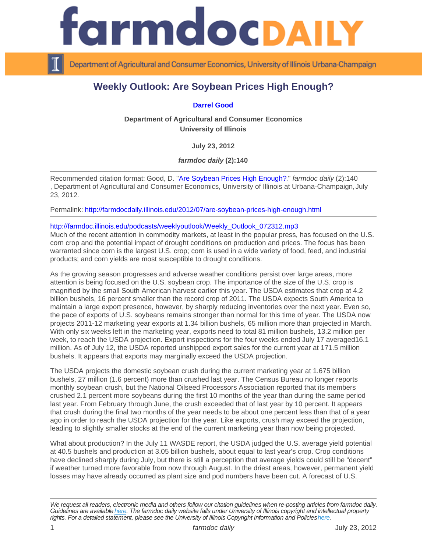## Weekly Outlook: Are Soybean Prices High Enough?

## [Darrel Good](http://www.farmdoc.illinois.edu/good/)

Department of Agricultural and Consumer Economics University of Illinois

July 23, 2012

farmdoc daily (2):140

Recommended citation format: Good, D. "[Are Soybean Prices High Enough?](http://farmdocdaily.illinois.edu/2012/07/are-soybean-prices-high-enough.html)." farmdoc daily (2):140 , Department of Agricultural and Consumer Economics, University of Illinois at Urbana-Champaign, July 23, 2012.

Permalink:<http://farmdocdaily.illinois.edu/2012/07/are-soybean-prices-high-enough.html>

## [http://farmdoc.illinois.edu/podcasts/weeklyoutlook/Weekly\\_Outlook\\_072312.mp3](http://farmdoc.illinois.edu/podcasts/weeklyoutlook/Weekly_Outlook_072312.mp3)

Much of the recent attention in commodity markets, at least in the popular press, has focused on the U.S. corn crop and the potential impact of drought conditions on production and prices. The focus has been warranted since corn is the largest U.S. crop; corn is used in a wide variety of food, feed, and industrial products; and corn yields are most susceptible to drought conditions.

As the growing season progresses and adverse weather conditions persist over large areas, more attention is being focused on the U.S. soybean crop. The importance of the size of the U.S. crop is magnified by the small South American harvest earlier this year. The USDA estimates that crop at 4.2 billion bushels, 16 percent smaller than the record crop of 2011. The USDA expects South America to maintain a large export presence, however, by sharply reducing inventories over the next year. Even so, the pace of exports of U.S. soybeans remains stronger than normal for this time of year. The USDA now projects 2011-12 marketing year exports at 1.34 billion bushels, 65 million more than projected in March. With only six weeks left in the marketing year, exports need to total 81 million bushels, 13.2 million per week, to reach the USDA projection. Export inspections for the four weeks ended July 17 averaged16.1 million. As of July 12, the USDA reported unshipped export sales for the current year at 171.5 million bushels. It appears that exports may marginally exceed the USDA projection.

The USDA projects the domestic soybean crush during the current marketing year at 1.675 billion bushels, 27 million (1.6 percent) more than crushed last year. The Census Bureau no longer reports monthly soybean crush, but the National Oilseed Processors Association reported that its members crushed 2.1 percent more soybeans during the first 10 months of the year than during the same period last year. From February through June, the crush exceeded that of last year by 10 percent. It appears that crush during the final two months of the year needs to be about one percent less than that of a year ago in order to reach the USDA projection for the year. Like exports, crush may exceed the projection, leading to slightly smaller stocks at the end of the current marketing year than now being projected.

What about production? In the July 11 WASDE report, the USDA judged the U.S. average yield potential at 40.5 bushels and production at 3.05 billion bushels, about equal to last year's crop. Crop conditions have declined sharply during July, but there is still a perception that average yields could still be "decent" if weather turned more favorable from now through August. In the driest areas, however, permanent yield losses may have already occurred as plant size and pod numbers have been cut. A forecast of U.S.

We request all readers, electronic media and others follow our citation guidelines when re-posting articles from farmdoc daily. Guidelines are available [here](http://farmdocdaily.illinois.edu/citationguide.html). The farmdoc daily website falls under University of Illinois copyright and intellectual property rights. For a detailed statement, please see the University of Illinois Copyright Information and Policies [here.](https://techservices.illinois.edu/office-cio)